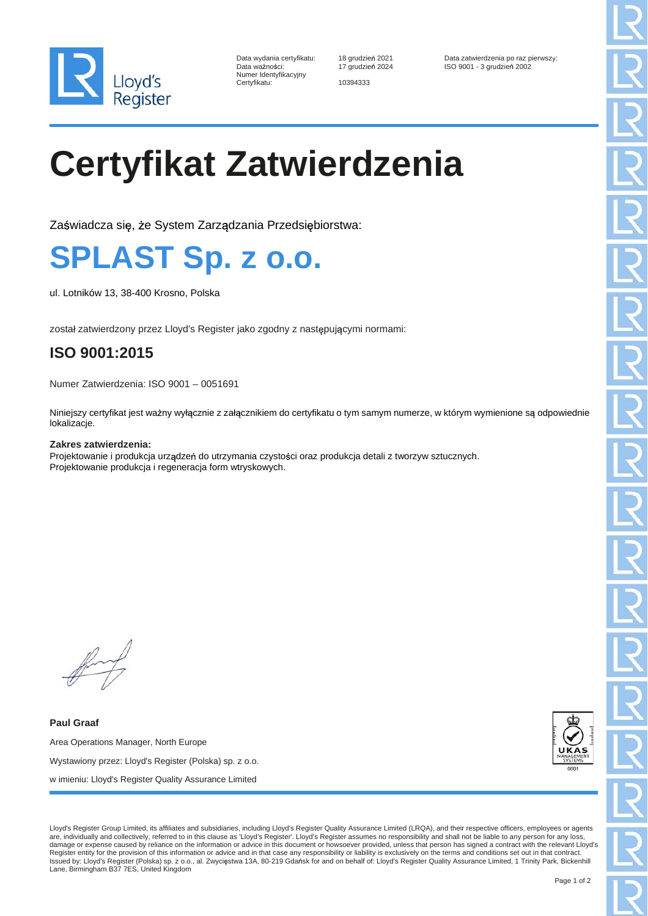

| Data wydania certyfikatu: |
|---------------------------|
| Data ważności:            |
| Numer Identyfikacyjny     |
| Certvfikatu:              |

Certyfikatu: 10394333

Data wydania certyfikatu: 18 grudzie 2021 Data zatwierdzenia po raz pierwszy: ISO 9001 - 3 grudzień 2002

# **Certyfikat Zatwierdzenia**

Zaświadcza się, że System Zarządzania Przedsiębiorstwa:

### **SPLAST Sp. z o.o.**

ul. Lotników 13, 38-400 Krosno, Polska

został zatwierdzony przez Lloyd's Register jako zgodny z następującymi normami:

### **ISO 9001:2015**

Numer Zatwierdzenia: ISO 9001 – 0051691

Niniejszy certyfikat jest ważny wyłącznie z załącznikiem do certyfikatu o tym samym numerze, w którym wymienione są odpowiednie lokalizacje.

#### **Zakres zatwierdzenia:**

Projektowanie i produkcja urządzeń do utrzymania czystości oraz produkcja detali z tworzyw sztucznych. Projektowanie produkcja i regeneracja form wtryskowych.

**Paul Graaf** Area Operations Manager, North Europe Wystawiony przez: Lloyd's Register (Polska) sp. z o.o. w imieniu: Lloyd's Register Quality Assurance Limited



Lloyd's Register Group Limited, its affiliates and subsidiaries, including Lloyd's Register Quality Assurance Limited (LRQA), and their respective officers, employees or agents are, individually and collectively, referred to in this clause as 'Lloyd's Register'. Lloyd's Register assumes no responsibility and shall not be liable to any person for any loss, damage or expense caused by reliance on the information or advice in this document or howsoever provided, unless that person has signed a contract with the relevant Lloyd's Register entity for the provision of this information or advice and in that case any responsibility or liability is exclusively on the terms and conditions set out in that contract.<br>Issued by: Lloyd's Register (Polska) sp. Lane, Birmingham B37 7ES, United Kingdom